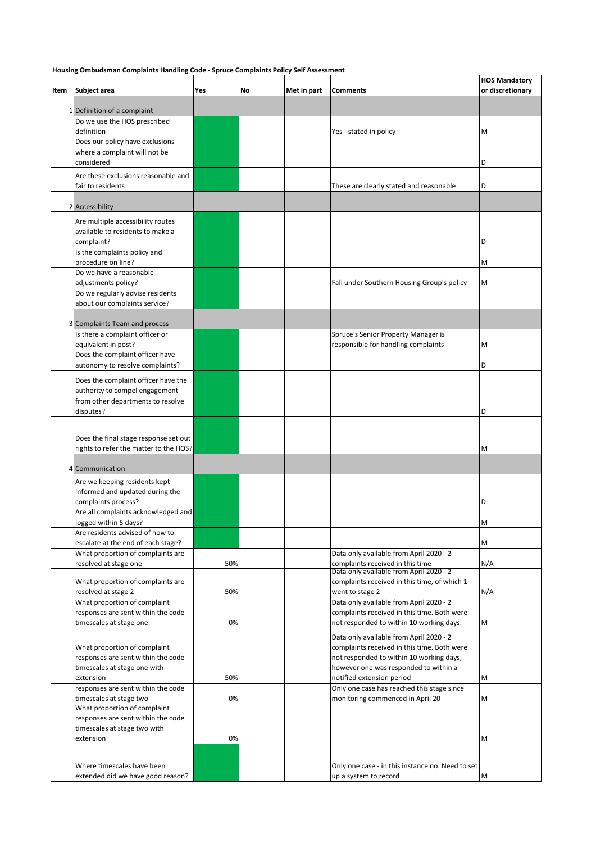**Housing Ombudsman Complaints Handling Code - Spruce Complaints Policy Self Assessment** 

| Item | Subject area                                                       | Yes | No | Met in part | <b>Comments</b>                                                                        | <b>HOS Mandatory</b><br>or discretionary |
|------|--------------------------------------------------------------------|-----|----|-------------|----------------------------------------------------------------------------------------|------------------------------------------|
|      | 1 Definition of a complaint                                        |     |    |             |                                                                                        |                                          |
|      | Do we use the HOS prescribed                                       |     |    |             |                                                                                        |                                          |
|      | definition                                                         |     |    |             | Yes - stated in policy                                                                 | M                                        |
|      | Does our policy have exclusions                                    |     |    |             |                                                                                        |                                          |
|      | where a complaint will not be<br>considered                        |     |    |             |                                                                                        | D                                        |
|      | Are these exclusions reasonable and                                |     |    |             |                                                                                        |                                          |
|      | fair to residents                                                  |     |    |             | These are clearly stated and reasonable                                                | D                                        |
|      |                                                                    |     |    |             |                                                                                        |                                          |
|      | 2 Accessibility                                                    |     |    |             |                                                                                        |                                          |
|      | Are multiple accessibility routes                                  |     |    |             |                                                                                        |                                          |
|      | available to residents to make a                                   |     |    |             |                                                                                        | D                                        |
|      | complaint?<br>Is the complaints policy and                         |     |    |             |                                                                                        |                                          |
|      | procedure on line?                                                 |     |    |             |                                                                                        | M                                        |
|      | Do we have a reasonable                                            |     |    |             |                                                                                        |                                          |
|      | adjustments policy?                                                |     |    |             | Fall under Southern Housing Group's policy                                             | M                                        |
|      | Do we regularly advise residents<br>about our complaints service?  |     |    |             |                                                                                        |                                          |
|      |                                                                    |     |    |             |                                                                                        |                                          |
|      | 3 Complaints Team and process                                      |     |    |             |                                                                                        |                                          |
|      | Is there a complaint officer or                                    |     |    |             | Spruce's Senior Property Manager is                                                    |                                          |
|      | equivalent in post?<br>Does the complaint officer have             |     |    |             | responsible for handling complaints                                                    | M                                        |
|      | autonomy to resolve complaints?                                    |     |    |             |                                                                                        | D                                        |
|      | Does the complaint officer have the                                |     |    |             |                                                                                        |                                          |
|      | authority to compel engagement                                     |     |    |             |                                                                                        |                                          |
|      | from other departments to resolve                                  |     |    |             |                                                                                        |                                          |
|      | disputes?                                                          |     |    |             |                                                                                        | D                                        |
|      |                                                                    |     |    |             |                                                                                        |                                          |
|      | Does the final stage response set out                              |     |    |             |                                                                                        |                                          |
|      | rights to refer the matter to the HOS?                             |     |    |             |                                                                                        | M                                        |
|      | 4 Communication                                                    |     |    |             |                                                                                        |                                          |
|      | Are we keeping residents kept                                      |     |    |             |                                                                                        |                                          |
|      | informed and updated during the                                    |     |    |             |                                                                                        |                                          |
|      | complaints process?                                                |     |    |             |                                                                                        | D                                        |
|      | Are all complaints acknowledged and<br>logged within 5 days?       |     |    |             |                                                                                        | M                                        |
|      | Are residents advised of how to                                    |     |    |             |                                                                                        |                                          |
|      | escalate at the end of each stage?                                 |     |    |             |                                                                                        | M                                        |
|      | What proportion of complaints are                                  |     |    |             | Data only available from April 2020 - 2                                                |                                          |
|      | resolved at stage one                                              | 50% |    |             | complaints received in this time<br>Data only available from April 2020 - 2            | N/A                                      |
|      | What proportion of complaints are                                  |     |    |             | complaints received in this time, of which 1                                           |                                          |
|      | resolved at stage 2                                                | 50% |    |             | went to stage 2                                                                        | N/A                                      |
|      | What proportion of complaint<br>responses are sent within the code |     |    |             | Data only available from April 2020 - 2<br>complaints received in this time. Both were |                                          |
|      | timescales at stage one                                            | 0%  |    |             | not responded to within 10 working days.                                               | M                                        |
|      |                                                                    |     |    |             | Data only available from April 2020 - 2                                                |                                          |
|      | What proportion of complaint                                       |     |    |             | complaints received in this time. Both were                                            |                                          |
|      | responses are sent within the code                                 |     |    |             | not responded to within 10 working days,                                               |                                          |
|      | timescales at stage one with<br>extension                          | 50% |    |             | however one was responded to within a<br>notified extension period                     | М                                        |
|      | responses are sent within the code                                 |     |    |             | Only one case has reached this stage since                                             |                                          |
|      | timescales at stage two                                            | 0%  |    |             | monitoring commenced in April 20                                                       | М                                        |
|      | What proportion of complaint                                       |     |    |             |                                                                                        |                                          |
|      | responses are sent within the code<br>timescales at stage two with |     |    |             |                                                                                        |                                          |
|      | extension                                                          | 0%  |    |             |                                                                                        | М                                        |
|      |                                                                    |     |    |             |                                                                                        |                                          |
|      | Where timescales have been                                         |     |    |             | Only one case - in this instance no. Need to set                                       |                                          |
|      | extended did we have good reason?                                  |     |    |             | up a system to record                                                                  | M                                        |